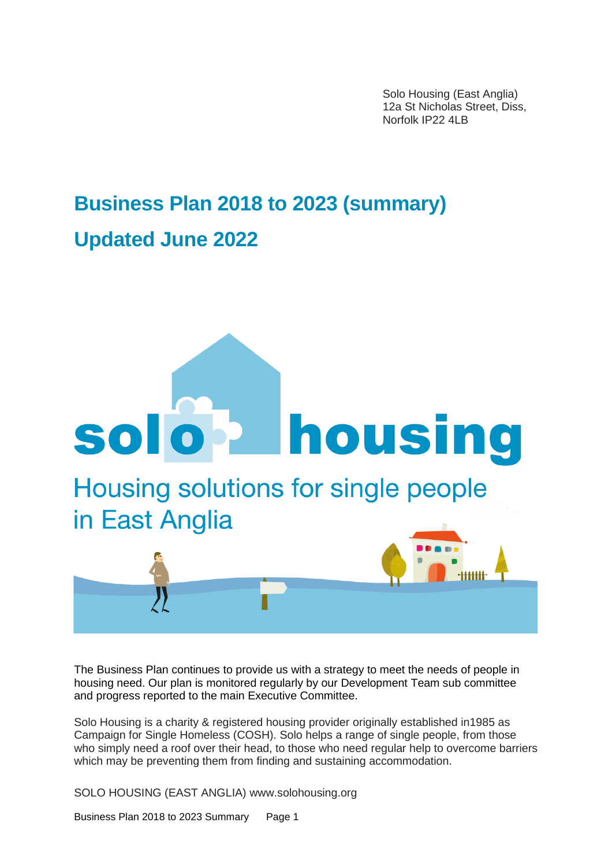Solo Housing (East Anglia) 12a St Nicholas Street, Diss, Norfolk IP22 4LB

# **Business Plan 2018 to 2023 (summary) Updated June 2022**



The Business Plan continues to provide us with a strategy to meet the needs of people in housing need. Our plan is monitored regularly by our Development Team sub committee and progress reported to the main Executive Committee.

Solo Housing is a charity & registered housing provider originally established in1985 as Campaign for Single Homeless (COSH). Solo helps a range of single people, from those who simply need a roof over their head, to those who need regular help to overcome barriers which may be preventing them from finding and sustaining accommodation.

SOLO HOUSING (EAST ANGLIA) www.solohousing.org

Business Plan 2018 to 2023 Summary Page 1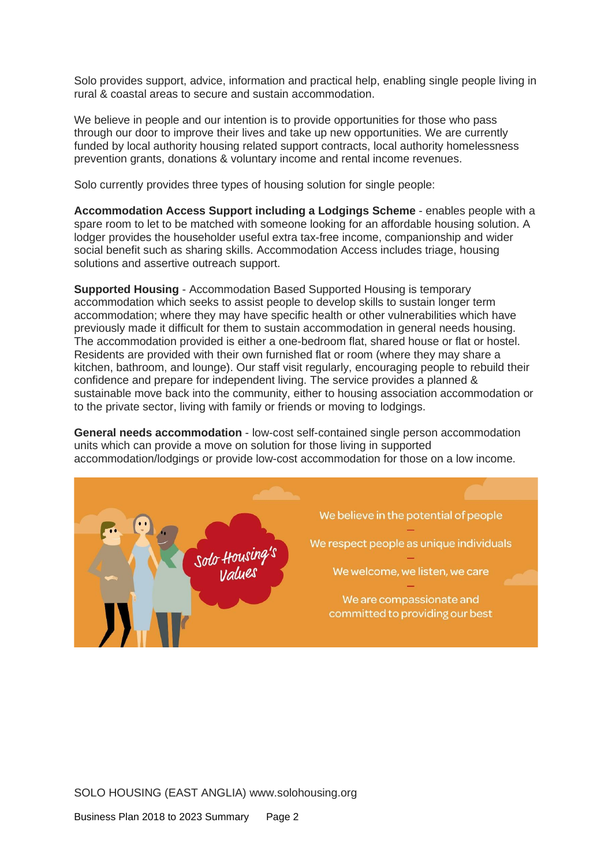Solo provides support, advice, information and practical help, enabling single people living in rural & coastal areas to secure and sustain accommodation.

We believe in people and our intention is to provide opportunities for those who pass through our door to improve their lives and take up new opportunities. We are currently funded by local authority housing related support contracts, local authority homelessness prevention grants, donations & voluntary income and rental income revenues.

Solo currently provides three types of housing solution for single people:

**Accommodation Access Support including a Lodgings Scheme** - enables people with a spare room to let to be matched with someone looking for an affordable housing solution. A lodger provides the householder useful extra tax-free income, companionship and wider social benefit such as sharing skills. Accommodation Access includes triage, housing solutions and assertive outreach support.

**Supported Housing** - Accommodation Based Supported Housing is temporary accommodation which seeks to assist people to develop skills to sustain longer term accommodation; where they may have specific health or other vulnerabilities which have previously made it difficult for them to sustain accommodation in general needs housing. The accommodation provided is either a one-bedroom flat, shared house or flat or hostel. Residents are provided with their own furnished flat or room (where they may share a kitchen, bathroom, and lounge). Our staff visit regularly, encouraging people to rebuild their confidence and prepare for independent living. The service provides a planned & sustainable move back into the community, either to housing association accommodation or to the private sector, living with family or friends or moving to lodgings.

**General needs accommodation** - low-cost self-contained single person accommodation units which can provide a move on solution for those living in supported accommodation/lodgings or provide low-cost accommodation for those on a low income.

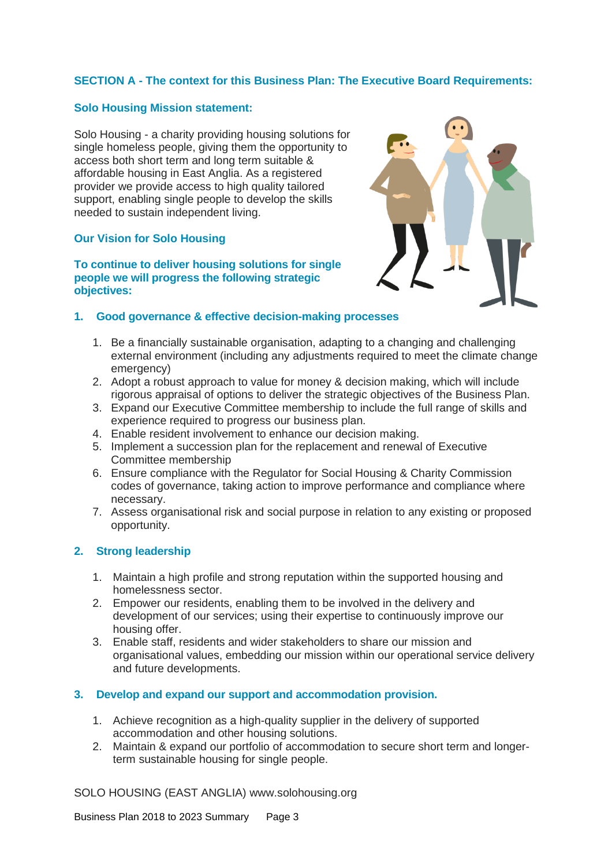# **SECTION A - The context for this Business Plan: The Executive Board Requirements:**

# **Solo Housing Mission statement:**

Solo Housing - a charity providing housing solutions for single homeless people, giving them the opportunity to access both short term and long term suitable & affordable housing in East Anglia. As a registered provider we provide access to high quality tailored support, enabling single people to develop the skills needed to sustain independent living.

# **Our Vision for Solo Housing**

#### **To continue to deliver housing solutions for single people we will progress the following strategic objectives:**



# **1. Good governance & effective decision-making processes**

- 1. Be a financially sustainable organisation, adapting to a changing and challenging external environment (including any adjustments required to meet the climate change emergency)
- 2. Adopt a robust approach to value for money & decision making, which will include rigorous appraisal of options to deliver the strategic objectives of the Business Plan.
- 3. Expand our Executive Committee membership to include the full range of skills and experience required to progress our business plan.
- 4. Enable resident involvement to enhance our decision making.
- 5. Implement a succession plan for the replacement and renewal of Executive Committee membership
- 6. Ensure compliance with the Regulator for Social Housing & Charity Commission codes of governance, taking action to improve performance and compliance where necessary.
- 7. Assess organisational risk and social purpose in relation to any existing or proposed opportunity.

# **2. Strong leadership**

- 1. Maintain a high profile and strong reputation within the supported housing and homelessness sector.
- 2. Empower our residents, enabling them to be involved in the delivery and development of our services; using their expertise to continuously improve our housing offer.
- 3. Enable staff, residents and wider stakeholders to share our mission and organisational values, embedding our mission within our operational service delivery and future developments.

# **3. Develop and expand our support and accommodation provision.**

- 1. Achieve recognition as a high-quality supplier in the delivery of supported accommodation and other housing solutions.
- 2. Maintain & expand our portfolio of accommodation to secure short term and longerterm sustainable housing for single people.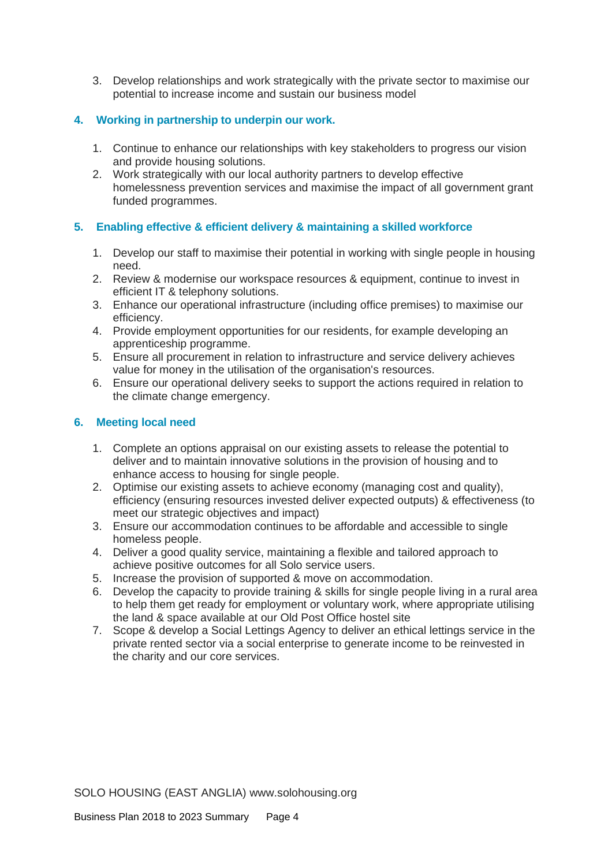3. Develop relationships and work strategically with the private sector to maximise our potential to increase income and sustain our business model

# **4. Working in partnership to underpin our work.**

- 1. Continue to enhance our relationships with key stakeholders to progress our vision and provide housing solutions.
- 2. Work strategically with our local authority partners to develop effective homelessness prevention services and maximise the impact of all government grant funded programmes.

# **5. Enabling effective & efficient delivery & maintaining a skilled workforce**

- 1. Develop our staff to maximise their potential in working with single people in housing need.
- 2. Review & modernise our workspace resources & equipment, continue to invest in efficient IT & telephony solutions.
- 3. Enhance our operational infrastructure (including office premises) to maximise our efficiency.
- 4. Provide employment opportunities for our residents, for example developing an apprenticeship programme.
- 5. Ensure all procurement in relation to infrastructure and service delivery achieves value for money in the utilisation of the organisation's resources.
- 6. Ensure our operational delivery seeks to support the actions required in relation to the climate change emergency.

# **6. Meeting local need**

- 1. Complete an options appraisal on our existing assets to release the potential to deliver and to maintain innovative solutions in the provision of housing and to enhance access to housing for single people.
- 2. Optimise our existing assets to achieve economy (managing cost and quality), efficiency (ensuring resources invested deliver expected outputs) & effectiveness (to meet our strategic objectives and impact)
- 3. Ensure our accommodation continues to be affordable and accessible to single homeless people.
- 4. Deliver a good quality service, maintaining a flexible and tailored approach to achieve positive outcomes for all Solo service users.
- 5. Increase the provision of supported & move on accommodation.
- 6. Develop the capacity to provide training & skills for single people living in a rural area to help them get ready for employment or voluntary work, where appropriate utilising the land & space available at our Old Post Office hostel site
- 7. Scope & develop a Social Lettings Agency to deliver an ethical lettings service in the private rented sector via a social enterprise to generate income to be reinvested in the charity and our core services.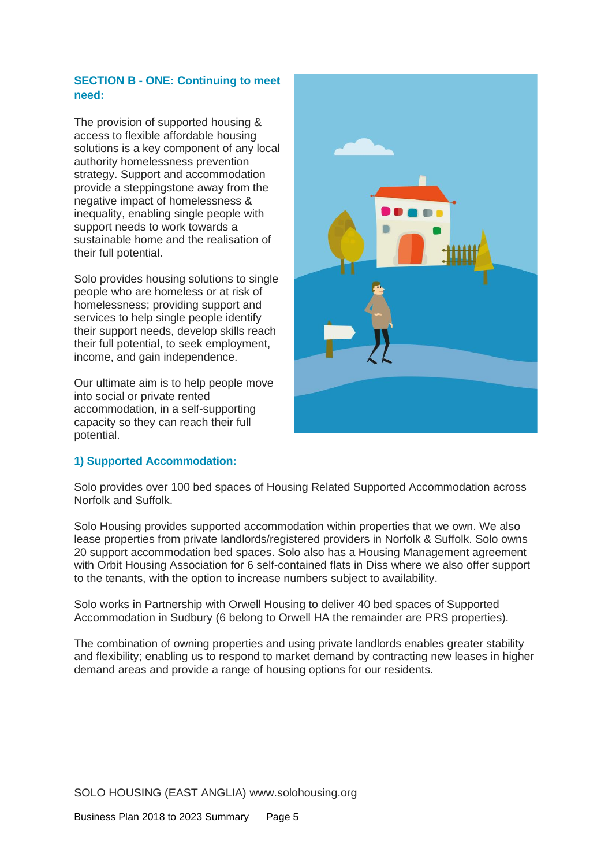# **SECTION B - ONE: Continuing to meet need:**

The provision of supported housing & access to flexible affordable housing solutions is a key component of any local authority homelessness prevention strategy. Support and accommodation provide a steppingstone away from the negative impact of homelessness & inequality, enabling single people with support needs to work towards a sustainable home and the realisation of their full potential.

Solo provides housing solutions to single people who are homeless or at risk of homelessness; providing support and services to help single people identify their support needs, develop skills reach their full potential, to seek employment, income, and gain independence.

Our ultimate aim is to help people move into social or private rented accommodation, in a self-supporting capacity so they can reach their full potential.



# **1) Supported Accommodation:**

Solo provides over 100 bed spaces of Housing Related Supported Accommodation across Norfolk and Suffolk.

Solo Housing provides supported accommodation within properties that we own. We also lease properties from private landlords/registered providers in Norfolk & Suffolk. Solo owns 20 support accommodation bed spaces. Solo also has a Housing Management agreement with Orbit Housing Association for 6 self-contained flats in Diss where we also offer support to the tenants, with the option to increase numbers subject to availability.

Solo works in Partnership with Orwell Housing to deliver 40 bed spaces of Supported Accommodation in Sudbury (6 belong to Orwell HA the remainder are PRS properties).

The combination of owning properties and using private landlords enables greater stability and flexibility; enabling us to respond to market demand by contracting new leases in higher demand areas and provide a range of housing options for our residents.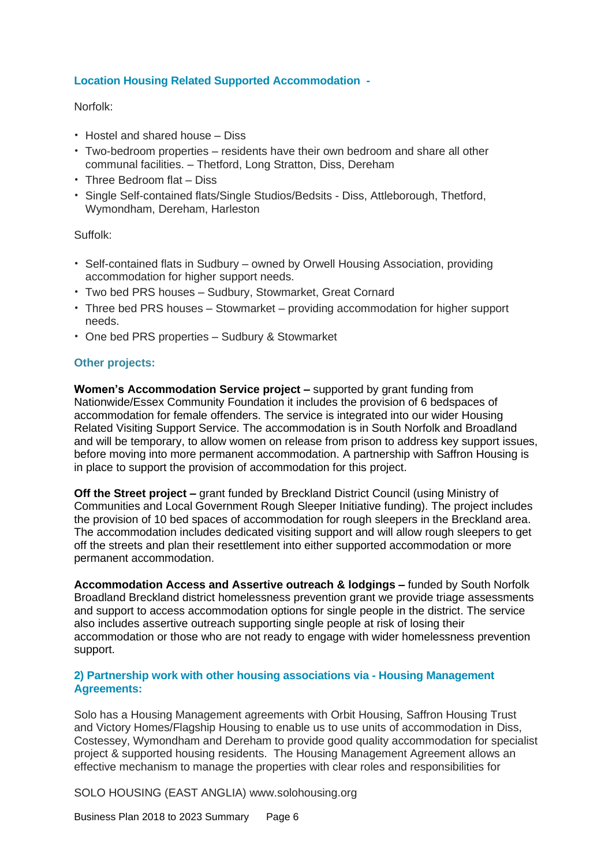# **Location Housing Related Supported Accommodation -**

Norfolk:

- Hostel and shared house Diss
- Two-bedroom properties residents have their own bedroom and share all other communal facilities. – Thetford, Long Stratton, Diss, Dereham
- Three Bedroom flat Diss
- Single Self-contained flats/Single Studios/Bedsits Diss, Attleborough, Thetford, Wymondham, Dereham, Harleston

Suffolk:

- Self-contained flats in Sudbury owned by Orwell Housing Association, providing accommodation for higher support needs.
- Two bed PRS houses Sudbury, Stowmarket, Great Cornard
- Three bed PRS houses Stowmarket providing accommodation for higher support needs.
- One bed PRS properties Sudbury & Stowmarket

# **Other projects:**

**Women's Accommodation Service project –** supported by grant funding from Nationwide/Essex Community Foundation it includes the provision of 6 bedspaces of accommodation for female offenders. The service is integrated into our wider Housing Related Visiting Support Service. The accommodation is in South Norfolk and Broadland and will be temporary, to allow women on release from prison to address key support issues, before moving into more permanent accommodation. A partnership with Saffron Housing is in place to support the provision of accommodation for this project.

**Off the Street project –** grant funded by Breckland District Council (using Ministry of Communities and Local Government Rough Sleeper Initiative funding). The project includes the provision of 10 bed spaces of accommodation for rough sleepers in the Breckland area. The accommodation includes dedicated visiting support and will allow rough sleepers to get off the streets and plan their resettlement into either supported accommodation or more permanent accommodation.

**Accommodation Access and Assertive outreach & lodgings –** funded by South Norfolk Broadland Breckland district homelessness prevention grant we provide triage assessments and support to access accommodation options for single people in the district. The service also includes assertive outreach supporting single people at risk of losing their accommodation or those who are not ready to engage with wider homelessness prevention support.

# **2) Partnership work with other housing associations via - Housing Management Agreements:**

Solo has a Housing Management agreements with Orbit Housing, Saffron Housing Trust and Victory Homes/Flagship Housing to enable us to use units of accommodation in Diss, Costessey, Wymondham and Dereham to provide good quality accommodation for specialist project & supported housing residents. The Housing Management Agreement allows an effective mechanism to manage the properties with clear roles and responsibilities for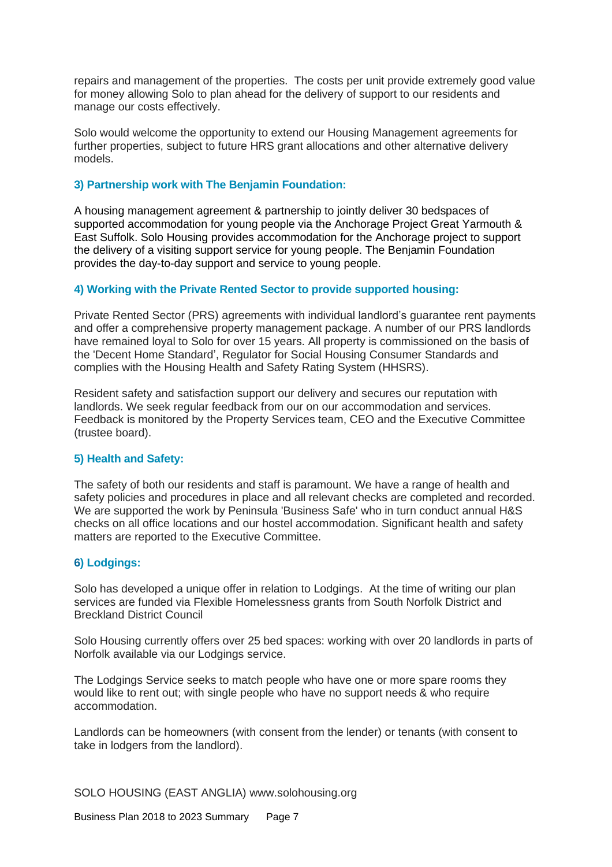repairs and management of the properties. The costs per unit provide extremely good value for money allowing Solo to plan ahead for the delivery of support to our residents and manage our costs effectively.

Solo would welcome the opportunity to extend our Housing Management agreements for further properties, subject to future HRS grant allocations and other alternative delivery models.

#### **3) Partnership work with The Benjamin Foundation:**

A housing management agreement & partnership to jointly deliver 30 bedspaces of supported accommodation for young people via the Anchorage Project Great Yarmouth & East Suffolk. Solo Housing provides accommodation for the Anchorage project to support the delivery of a visiting support service for young people. The Benjamin Foundation provides the day-to-day support and service to young people.

#### **4) Working with the Private Rented Sector to provide supported housing:**

Private Rented Sector (PRS) agreements with individual landlord's guarantee rent payments and offer a comprehensive property management package. A number of our PRS landlords have remained loyal to Solo for over 15 years. All property is commissioned on the basis of the 'Decent Home Standard', Regulator for Social Housing Consumer Standards and complies with the Housing Health and Safety Rating System (HHSRS).

Resident safety and satisfaction support our delivery and secures our reputation with landlords. We seek regular feedback from our on our accommodation and services. Feedback is monitored by the Property Services team, CEO and the Executive Committee (trustee board).

#### **5) Health and Safety:**

The safety of both our residents and staff is paramount. We have a range of health and safety policies and procedures in place and all relevant checks are completed and recorded. We are supported the work by Peninsula 'Business Safe' who in turn conduct annual H&S checks on all office locations and our hostel accommodation. Significant health and safety matters are reported to the Executive Committee.

# **6) Lodgings:**

Solo has developed a unique offer in relation to Lodgings. At the time of writing our plan services are funded via Flexible Homelessness grants from South Norfolk District and Breckland District Council

Solo Housing currently offers over 25 bed spaces: working with over 20 landlords in parts of Norfolk available via our Lodgings service.

The Lodgings Service seeks to match people who have one or more spare rooms they would like to rent out; with single people who have no support needs & who require accommodation.

Landlords can be homeowners (with consent from the lender) or tenants (with consent to take in lodgers from the landlord).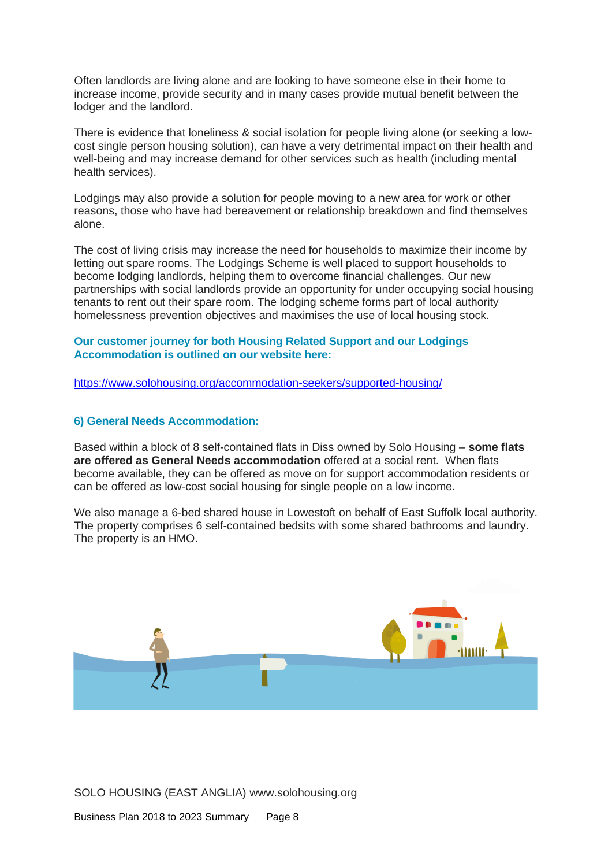Often landlords are living alone and are looking to have someone else in their home to increase income, provide security and in many cases provide mutual benefit between the lodger and the landlord.

There is evidence that loneliness & social isolation for people living alone (or seeking a lowcost single person housing solution), can have a very detrimental impact on their health and well-being and may increase demand for other services such as health (including mental health services).

Lodgings may also provide a solution for people moving to a new area for work or other reasons, those who have had bereavement or relationship breakdown and find themselves alone.

The cost of living crisis may increase the need for households to maximize their income by letting out spare rooms. The Lodgings Scheme is well placed to support households to become lodging landlords, helping them to overcome financial challenges. Our new partnerships with social landlords provide an opportunity for under occupying social housing tenants to rent out their spare room. The lodging scheme forms part of local authority homelessness prevention objectives and maximises the use of local housing stock.

#### **Our customer journey for both Housing Related Support and our Lodgings Accommodation is outlined on our website here:**

<https://www.solohousing.org/accommodation-seekers/supported-housing/>

#### **6) General Needs Accommodation:**

Based within a block of 8 self-contained flats in Diss owned by Solo Housing – **some flats are offered as General Needs accommodation** offered at a social rent. When flats become available, they can be offered as move on for support accommodation residents or can be offered as low-cost social housing for single people on a low income.

We also manage a 6-bed shared house in Lowestoft on behalf of East Suffolk local authority. The property comprises 6 self-contained bedsits with some shared bathrooms and laundry. The property is an HMO.

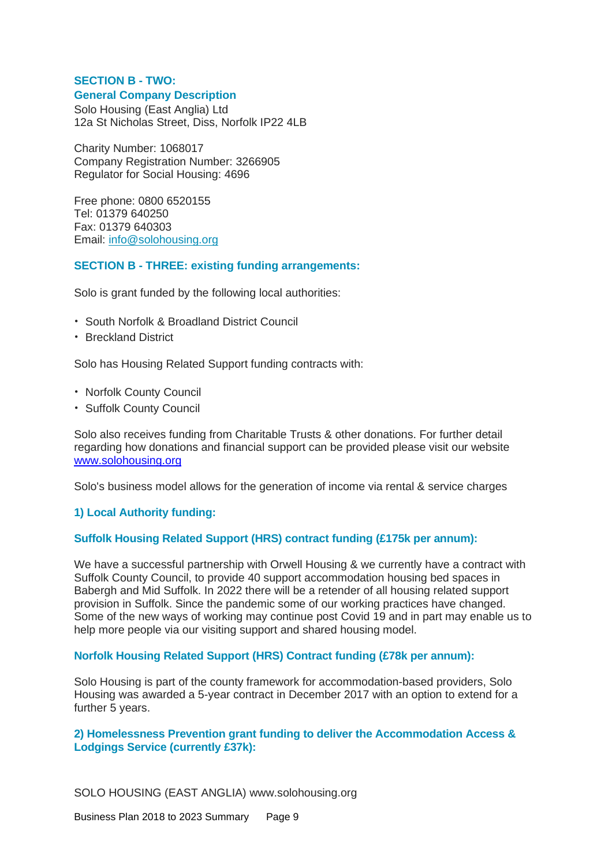# **SECTION B - TWO: General Company Description**

Solo Housing (East Anglia) Ltd 12a St Nicholas Street, Diss, Norfolk IP22 4LB

Charity Number: 1068017 Company Registration Number: 3266905 Regulator for Social Housing: 4696

Free phone: 0800 6520155 Tel: 01379 640250 Fax: 01379 640303 Email: [info@solohousing.org](mailto:info@solohousing.org)

# **SECTION B - THREE: existing funding arrangements:**

Solo is grant funded by the following local authorities:

- South Norfolk & Broadland District Council
- Breckland District

Solo has Housing Related Support funding contracts with:

- Norfolk County Council
- Suffolk County Council

Solo also receives funding from Charitable Trusts & other donations. For further detail regarding how donations and financial support can be provided please visit our website [www.solohousing.org](http://www.solohousing.org/)

Solo's business model allows for the generation of income via rental & service charges

# **1) Local Authority funding:**

# **Suffolk Housing Related Support (HRS) contract funding (£175k per annum):**

We have a successful partnership with Orwell Housing & we currently have a contract with Suffolk County Council, to provide 40 support accommodation housing bed spaces in Babergh and Mid Suffolk. In 2022 there will be a retender of all housing related support provision in Suffolk. Since the pandemic some of our working practices have changed. Some of the new ways of working may continue post Covid 19 and in part may enable us to help more people via our visiting support and shared housing model.

#### **Norfolk Housing Related Support (HRS) Contract funding (£78k per annum):**

Solo Housing is part of the county framework for accommodation-based providers, Solo Housing was awarded a 5-year contract in December 2017 with an option to extend for a further 5 years.

# **2) Homelessness Prevention grant funding to deliver the Accommodation Access & Lodgings Service (currently £37k):**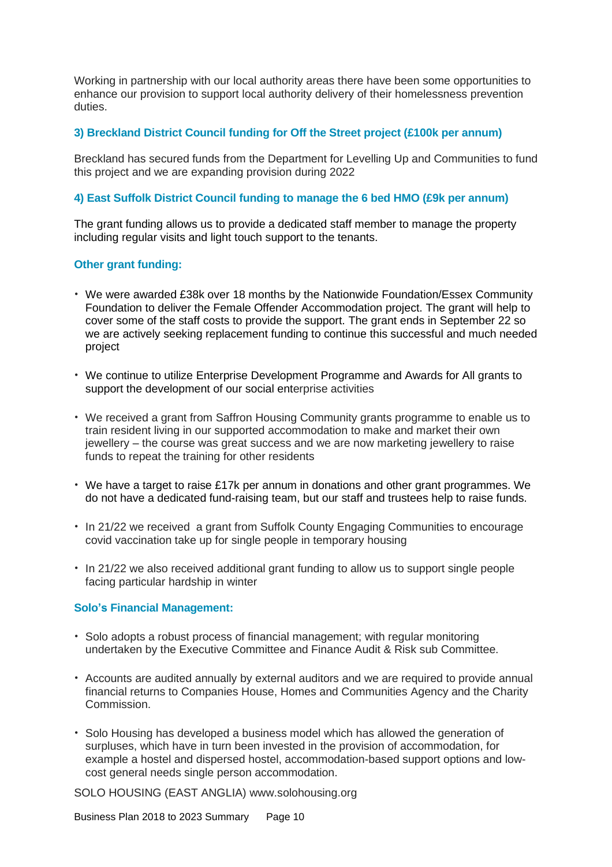Working in partnership with our local authority areas there have been some opportunities to enhance our provision to support local authority delivery of their homelessness prevention duties.

# **3) Breckland District Council funding for Off the Street project (£100k per annum)**

Breckland has secured funds from the Department for Levelling Up and Communities to fund this project and we are expanding provision during 2022

#### **4) East Suffolk District Council funding to manage the 6 bed HMO (£9k per annum)**

The grant funding allows us to provide a dedicated staff member to manage the property including regular visits and light touch support to the tenants.

# **Other grant funding:**

- We were awarded £38k over 18 months by the Nationwide Foundation/Essex Community Foundation to deliver the Female Offender Accommodation project. The grant will help to cover some of the staff costs to provide the support. The grant ends in September 22 so we are actively seeking replacement funding to continue this successful and much needed project
- We continue to utilize Enterprise Development Programme and Awards for All grants to support the development of our social enterprise activities
- We received a grant from Saffron Housing Community grants programme to enable us to train resident living in our supported accommodation to make and market their own jewellery – the course was great success and we are now marketing jewellery to raise funds to repeat the training for other residents
- We have a target to raise £17k per annum in donations and other grant programmes. We do not have a dedicated fund-raising team, but our staff and trustees help to raise funds.
- In 21/22 we received a grant from Suffolk County Engaging Communities to encourage covid vaccination take up for single people in temporary housing
- In 21/22 we also received additional grant funding to allow us to support single people facing particular hardship in winter

#### **Solo's Financial Management:**

- Solo adopts a robust process of financial management; with regular monitoring undertaken by the Executive Committee and Finance Audit & Risk sub Committee.
- Accounts are audited annually by external auditors and we are required to provide annual financial returns to Companies House, Homes and Communities Agency and the Charity Commission.
- Solo Housing has developed a business model which has allowed the generation of surpluses, which have in turn been invested in the provision of accommodation, for example a hostel and dispersed hostel, accommodation-based support options and lowcost general needs single person accommodation.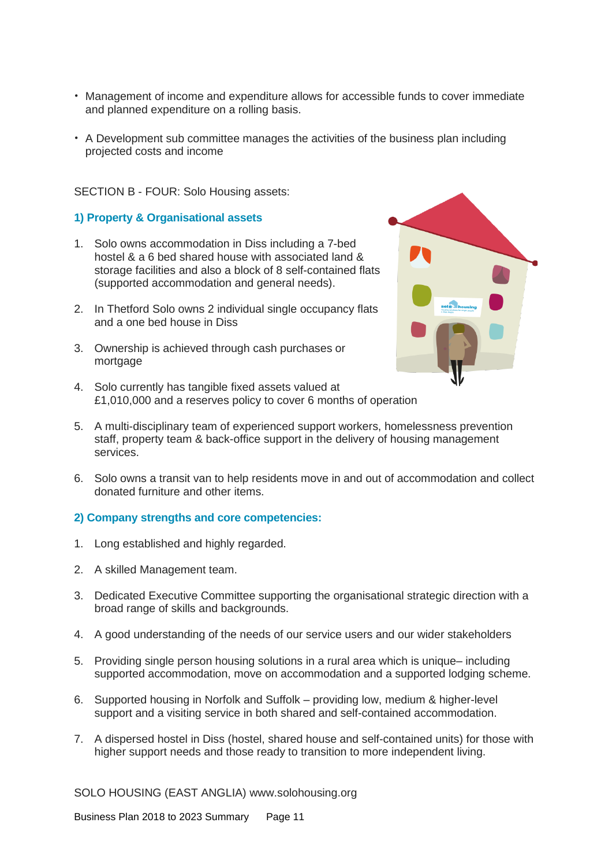- Management of income and expenditure allows for accessible funds to cover immediate and planned expenditure on a rolling basis.
- A Development sub committee manages the activities of the business plan including projected costs and income

SECTION B - FOUR: Solo Housing assets:

#### **1) Property & Organisational assets**

- 1. Solo owns accommodation in Diss including a 7-bed hostel & a 6 bed shared house with associated land & storage facilities and also a block of 8 self-contained flats (supported accommodation and general needs).
- 2. In Thetford Solo owns 2 individual single occupancy flats and a one bed house in Diss
- 3. Ownership is achieved through cash purchases or mortgage
- 4. Solo currently has tangible fixed assets valued at £1,010,000 and a reserves policy to cover 6 months of operation
- 5. A multi-disciplinary team of experienced support workers, homelessness prevention staff, property team & back-office support in the delivery of housing management services.
- 6. Solo owns a transit van to help residents move in and out of accommodation and collect donated furniture and other items.

#### **2) Company strengths and core competencies:**

- 1. Long established and highly regarded.
- 2. A skilled Management team.
- 3. Dedicated Executive Committee supporting the organisational strategic direction with a broad range of skills and backgrounds.
- 4. A good understanding of the needs of our service users and our wider stakeholders
- 5. Providing single person housing solutions in a rural area which is unique– including supported accommodation, move on accommodation and a supported lodging scheme.
- 6. Supported housing in Norfolk and Suffolk providing low, medium & higher-level support and a visiting service in both shared and self-contained accommodation.
- 7. A dispersed hostel in Diss (hostel, shared house and self-contained units) for those with higher support needs and those ready to transition to more independent living.

SOLO HOUSING (EAST ANGLIA) www.solohousing.org

Business Plan 2018 to 2023 Summary Page 11

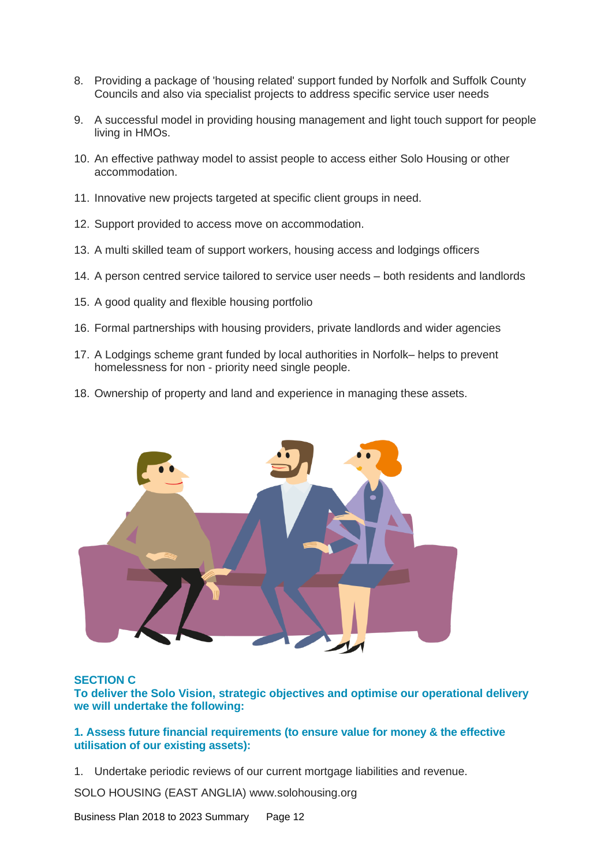- 8. Providing a package of 'housing related' support funded by Norfolk and Suffolk County Councils and also via specialist projects to address specific service user needs
- 9. A successful model in providing housing management and light touch support for people living in HMOs.
- 10. An effective pathway model to assist people to access either Solo Housing or other accommodation.
- 11. Innovative new projects targeted at specific client groups in need.
- 12. Support provided to access move on accommodation.
- 13. A multi skilled team of support workers, housing access and lodgings officers
- 14. A person centred service tailored to service user needs both residents and landlords
- 15. A good quality and flexible housing portfolio
- 16. Formal partnerships with housing providers, private landlords and wider agencies
- 17. A Lodgings scheme grant funded by local authorities in Norfolk– helps to prevent homelessness for non - priority need single people.
- 18. Ownership of property and land and experience in managing these assets.



#### **SECTION C**

**To deliver the Solo Vision, strategic objectives and optimise our operational delivery we will undertake the following:**

**1. Assess future financial requirements (to ensure value for money & the effective utilisation of our existing assets):**

1. Undertake periodic reviews of our current mortgage liabilities and revenue.

SOLO HOUSING (EAST ANGLIA) www.solohousing.org

Business Plan 2018 to 2023 Summary Page 12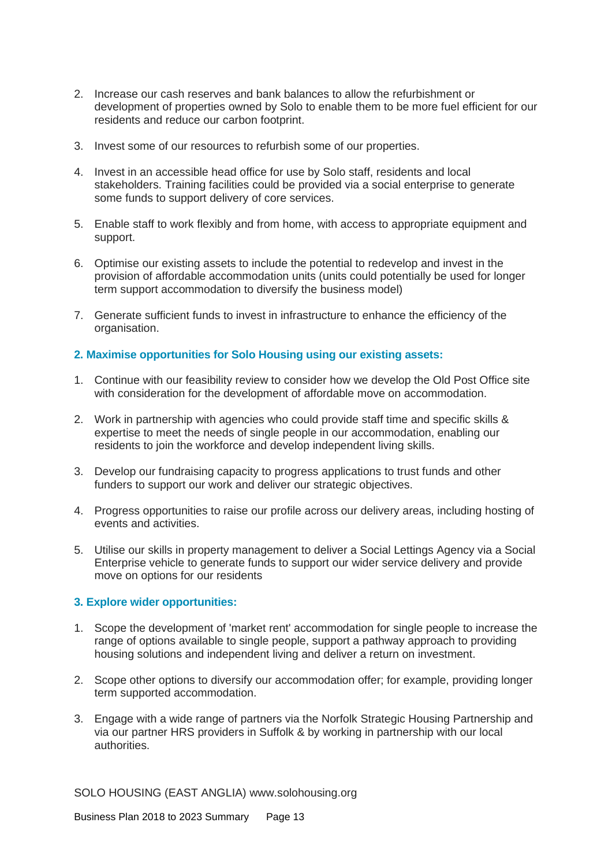- 2. Increase our cash reserves and bank balances to allow the refurbishment or development of properties owned by Solo to enable them to be more fuel efficient for our residents and reduce our carbon footprint.
- 3. Invest some of our resources to refurbish some of our properties.
- 4. Invest in an accessible head office for use by Solo staff, residents and local stakeholders. Training facilities could be provided via a social enterprise to generate some funds to support delivery of core services.
- 5. Enable staff to work flexibly and from home, with access to appropriate equipment and support.
- 6. Optimise our existing assets to include the potential to redevelop and invest in the provision of affordable accommodation units (units could potentially be used for longer term support accommodation to diversify the business model)
- 7. Generate sufficient funds to invest in infrastructure to enhance the efficiency of the organisation.

#### **2. Maximise opportunities for Solo Housing using our existing assets:**

- 1. Continue with our feasibility review to consider how we develop the Old Post Office site with consideration for the development of affordable move on accommodation.
- 2. Work in partnership with agencies who could provide staff time and specific skills & expertise to meet the needs of single people in our accommodation, enabling our residents to join the workforce and develop independent living skills.
- 3. Develop our fundraising capacity to progress applications to trust funds and other funders to support our work and deliver our strategic objectives.
- 4. Progress opportunities to raise our profile across our delivery areas, including hosting of events and activities.
- 5. Utilise our skills in property management to deliver a Social Lettings Agency via a Social Enterprise vehicle to generate funds to support our wider service delivery and provide move on options for our residents

# **3. Explore wider opportunities:**

- 1. Scope the development of 'market rent' accommodation for single people to increase the range of options available to single people, support a pathway approach to providing housing solutions and independent living and deliver a return on investment.
- 2. Scope other options to diversify our accommodation offer; for example, providing longer term supported accommodation.
- 3. Engage with a wide range of partners via the Norfolk Strategic Housing Partnership and via our partner HRS providers in Suffolk & by working in partnership with our local authorities.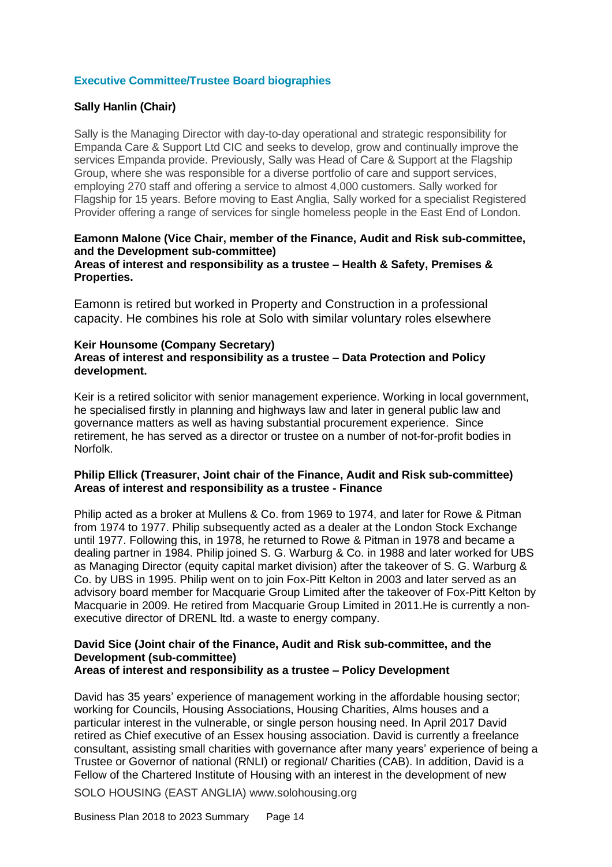# **Executive Committee/Trustee Board biographies**

# **Sally Hanlin (Chair)**

Sally is the Managing Director with day-to-day operational and strategic responsibility for Empanda Care & Support Ltd CIC and seeks to develop, grow and continually improve the services Empanda provide. Previously, Sally was Head of Care & Support at the Flagship Group, where she was responsible for a diverse portfolio of care and support services, employing 270 staff and offering a service to almost 4,000 customers. Sally worked for Flagship for 15 years. Before moving to East Anglia, Sally worked for a specialist Registered Provider offering a range of services for single homeless people in the East End of London.

#### **Eamonn Malone (Vice Chair, member of the Finance, Audit and Risk sub-committee, and the Development sub-committee) Areas of interest and responsibility as a trustee – Health & Safety, Premises & Properties.**

Eamonn is retired but worked in Property and Construction in a professional capacity. He combines his role at Solo with similar voluntary roles elsewhere

#### **Keir Hounsome (Company Secretary) Areas of interest and responsibility as a trustee – Data Protection and Policy development.**

Keir is a retired solicitor with senior management experience. Working in local government, he specialised firstly in planning and highways law and later in general public law and governance matters as well as having substantial procurement experience. Since retirement, he has served as a director or trustee on a number of not-for-profit bodies in Norfolk.

#### **Philip Ellick (Treasurer, Joint chair of the Finance, Audit and Risk sub-committee) Areas of interest and responsibility as a trustee - Finance**

Philip acted as a broker at Mullens & Co. from 1969 to 1974, and later for Rowe & Pitman from 1974 to 1977. Philip subsequently acted as a dealer at the London Stock Exchange until 1977. Following this, in 1978, he returned to Rowe & Pitman in 1978 and became a dealing partner in 1984. Philip joined S. G. Warburg & Co. in 1988 and later worked for UBS as Managing Director (equity capital market division) after the takeover of S. G. Warburg & Co. by UBS in 1995. Philip went on to join Fox-Pitt Kelton in 2003 and later served as an advisory board member for Macquarie Group Limited after the takeover of Fox-Pitt Kelton by Macquarie in 2009. He retired from Macquarie Group Limited in 2011.He is currently a nonexecutive director of DRENL ltd. a waste to energy company.

# **David Sice (Joint chair of the Finance, Audit and Risk sub-committee, and the Development (sub-committee)**

**Areas of interest and responsibility as a trustee – Policy Development**

David has 35 years' experience of management working in the affordable housing sector; working for Councils, Housing Associations, Housing Charities, Alms houses and a particular interest in the vulnerable, or single person housing need. In April 2017 David retired as Chief executive of an Essex housing association. David is currently a freelance consultant, assisting small charities with governance after many years' experience of being a Trustee or Governor of national (RNLI) or regional/ Charities (CAB). In addition, David is a Fellow of the Chartered Institute of Housing with an interest in the development of new